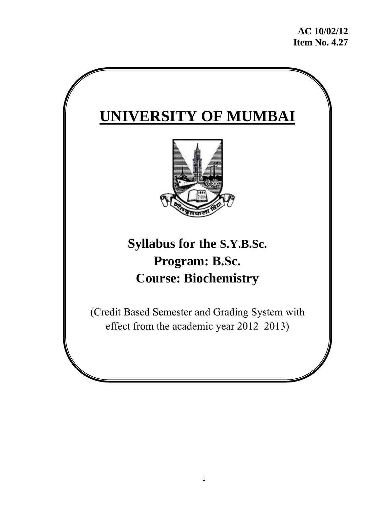# **UNIVERSITY OF MUMBAI**



# **Syllabus for the S.Y.B.Sc. Program: B.Sc. Course: Biochemistry**

(Credit Based Semester and Grading System with effect from the academic year 2012–2013)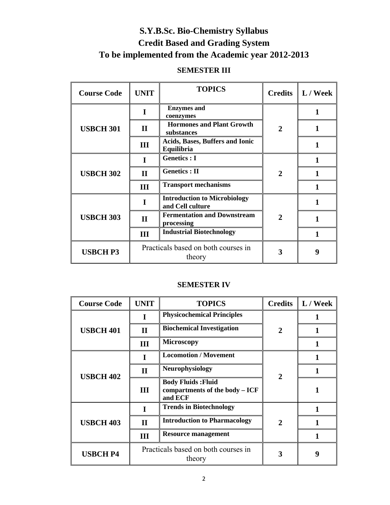# **S.Y.B.Sc. Bio-Chemistry Syllabus Credit Based and Grading System To be implemented from the Academic year 2012-2013**

# **SEMESTER III**

| <b>Course Code</b> | <b>UNIT</b>                                   | <b>TOPICS</b>                                           | <b>Credits</b> | $\mathbf{L} / \mathbf{W}$ eek |
|--------------------|-----------------------------------------------|---------------------------------------------------------|----------------|-------------------------------|
| <b>USBCH 301</b>   | I                                             | <b>Enzymes</b> and<br>coenzymes                         | $\mathbf{2}$   | 1                             |
|                    | $\mathbf{I}$                                  | <b>Hormones and Plant Growth</b><br>substances          |                |                               |
|                    | Ш                                             | <b>Acids, Bases, Buffers and Ionic</b><br>Equilibria    |                |                               |
| <b>USBCH 302</b>   | I                                             | <b>Genetics</b> : I                                     | $\mathbf{2}$   | 1                             |
|                    | $\mathbf{I}$                                  | <b>Genetics</b> : II                                    |                |                               |
|                    | Ш                                             | <b>Transport mechanisms</b>                             |                |                               |
| <b>USBCH 303</b>   |                                               | <b>Introduction to Microbiology</b><br>and Cell culture |                |                               |
|                    | $\mathbf{I}$                                  | <b>Fermentation and Downstream</b><br>processing        | $\mathbf{2}$   |                               |
|                    | Ш                                             | <b>Industrial Biotechnology</b>                         |                |                               |
| <b>USBCH P3</b>    | Practicals based on both courses in<br>theory |                                                         | 3              | 9                             |

### **SEMESTER IV**

| <b>Course Code</b> | <b>UNIT</b>                                   | <b>TOPICS</b>                                                            | <b>Credits</b> | L / Week |
|--------------------|-----------------------------------------------|--------------------------------------------------------------------------|----------------|----------|
|                    |                                               | <b>Physicochemical Principles</b>                                        |                |          |
| <b>USBCH 401</b>   | $\mathbf H$                                   | <b>Biochemical Investigation</b>                                         | $\mathbf{2}$   |          |
|                    | Ш                                             | <b>Microscopy</b>                                                        |                |          |
| <b>USBCH 402</b>   | T                                             | <b>Locomotion / Movement</b>                                             | $\overline{2}$ |          |
|                    | $\mathbf H$                                   | <b>Neurophysiology</b>                                                   |                |          |
|                    | Ш                                             | <b>Body Fluids: Fluid</b><br>compartments of the body $- ICF$<br>and ECF |                |          |
| <b>USBCH 403</b>   |                                               | <b>Trends in Biotechnology</b>                                           |                |          |
|                    | $\mathbf{I}$                                  | <b>Introduction to Pharmacology</b>                                      | 2              |          |
|                    | Ш                                             | <b>Resource management</b>                                               |                |          |
| <b>USBCH P4</b>    | Practicals based on both courses in<br>theory |                                                                          | 3              | 9        |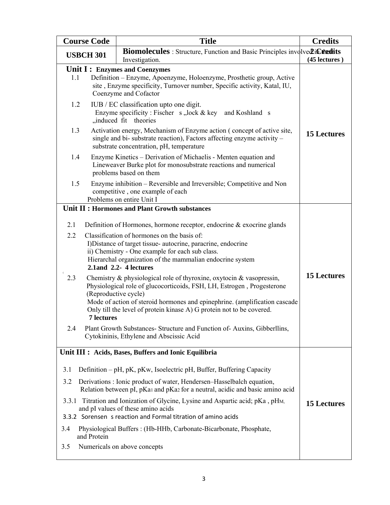| <b>Course Code</b>                      |                   | <b>Title</b>                                                                                                                                                                                                                                                                                                                                                                                                                                                                                                                                                                                                                                                                                                                                                                                                                                 | <b>Credits</b>     |
|-----------------------------------------|-------------------|----------------------------------------------------------------------------------------------------------------------------------------------------------------------------------------------------------------------------------------------------------------------------------------------------------------------------------------------------------------------------------------------------------------------------------------------------------------------------------------------------------------------------------------------------------------------------------------------------------------------------------------------------------------------------------------------------------------------------------------------------------------------------------------------------------------------------------------------|--------------------|
| <b>USBCH 301</b>                        |                   | <b>Biomolecules</b> : Structure, Function and Basic Principles involved in Citedits<br>Investigation.                                                                                                                                                                                                                                                                                                                                                                                                                                                                                                                                                                                                                                                                                                                                        | (45 lectures)      |
| 1.1<br>1.2<br>1.3<br>1.4                |                   | Unit I: Enzymes and Coenzymes<br>Definition – Enzyme, Apoenzyme, Holoenzyme, Prosthetic group, Active<br>site, Enzyme specificity, Turnover number, Specific activity, Katal, IU,<br>Coenzyme and Cofactor<br>IUB / EC classification upto one digit.<br>Enzyme specificity: Fischer $s$ , lock & key and Koshland s<br>"induced fit theories<br>Activation energy, Mechanism of Enzyme action (concept of active site,<br>single and bi- substrate reaction), Factors affecting enzyme activity –<br>substrate concentration, pH, temperature<br>Enzyme Kinetics – Derivation of Michaelis - Menten equation and                                                                                                                                                                                                                            | <b>15 Lectures</b> |
| 1.5                                     |                   | Lineweaver Burke plot for monosubstrate reactions and numerical<br>problems based on them<br>Enzyme inhibition – Reversible and Irreversible; Competitive and Non<br>competitive, one example of each<br>Problems on entire Unit I                                                                                                                                                                                                                                                                                                                                                                                                                                                                                                                                                                                                           |                    |
| 2.1<br>2.2<br>2.3<br>2.4                | <b>7</b> lectures | Unit II : Hormones and Plant Growth substances<br>Definition of Hormones, hormone receptor, endocrine $\&$ exocrine glands<br>Classification of hormones on the basis of:<br>I) Distance of target tissue- autocrine, paracrine, endocrine<br>ii) Chemistry - One example for each sub class.<br>Hierarchal organization of the mammalian endocrine system<br>2.1 and 2.2-4 lectures<br>Chemistry & physiological role of thyroxine, oxytocin & vasopressin,<br>Physiological role of glucocorticoids, FSH, LH, Estrogen, Progesterone<br>(Reproductive cycle)<br>Mode of action of steroid hormones and epinephrine. (amplification cascade<br>Only till the level of protein kinase A) G protein not to be covered.<br>Plant Growth Substances- Structure and Function of-Auxins, Gibberllins,<br>Cytokininis, Ethylene and Abscissic Acid | <b>15 Lectures</b> |
| 3.1<br>3.2<br>3.4<br>and Protein<br>3.5 |                   | Unit III : Acids, Bases, Buffers and Ionic Equilibria<br>Definition – pH, pK, pKw, Isoelectric pH, Buffer, Buffering Capacity<br>Derivations: Ionic product of water, Hendersen–Hasselbalch equation,<br>Relation between pI, pKa1 and pKa2 for a neutral, acidic and basic amino acid<br>3.3.1 Titration and Ionization of Glycine, Lysine and Aspartic acid; pKa, pHM,<br>and pI values of these amino acids<br>3.3.2 Sorensen s reaction and Formal titration of amino acids<br>Physiological Buffers: (Hb-HHb, Carbonate-Bicarbonate, Phosphate,<br>Numericals on above concepts                                                                                                                                                                                                                                                         | <b>15 Lectures</b> |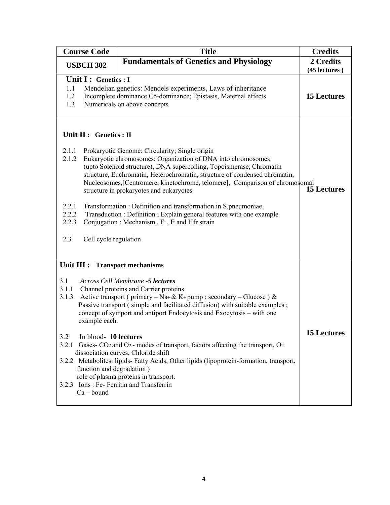| <b>Course Code</b>                                                                                                                                                      | <b>Title</b>                                                                                                                                                                                                                                                                                                                                                                                                                                                                                                                                                                                                                                         | <b>Credits</b>             |
|-------------------------------------------------------------------------------------------------------------------------------------------------------------------------|------------------------------------------------------------------------------------------------------------------------------------------------------------------------------------------------------------------------------------------------------------------------------------------------------------------------------------------------------------------------------------------------------------------------------------------------------------------------------------------------------------------------------------------------------------------------------------------------------------------------------------------------------|----------------------------|
| <b>Fundamentals of Genetics and Physiology</b><br><b>USBCH 302</b>                                                                                                      |                                                                                                                                                                                                                                                                                                                                                                                                                                                                                                                                                                                                                                                      | 2 Credits<br>(45 lectures) |
| Unit I : Genetics : I<br>1.1<br>1.2<br>1.3                                                                                                                              | Mendelian genetics: Mendels experiments, Laws of inheritance<br>Incomplete dominance Co-dominance; Epistasis, Maternal effects<br>Numericals on above concepts                                                                                                                                                                                                                                                                                                                                                                                                                                                                                       | <b>15 Lectures</b>         |
| Unit II : Genetics : II<br>2.1.1<br>2.1.2<br>2.2.1<br>2.2.2<br>2.2.3<br>2.3<br>Cell cycle regulation                                                                    | Prokaryotic Genome: Circularity; Single origin<br>Eukaryotic chromosomes: Organization of DNA into chromosomes<br>(upto Solenoid structure), DNA supercoiling, Topoismerase, Chromatin<br>structure, Euchromatin, Heterochromatin, structure of condensed chromatin,<br>Nucleosomes, [Centromere, kinetochrome, telomere], Comparison of chromosomal<br>structure in prokaryotes and eukaryotes<br>Transformation : Definition and transformation in S.pneumoniae<br>Transduction : Definition ; Explain general features with one example<br>Conjugation: Mechanism, F <sup>+</sup> , F and Hfr strain                                              | <b>15 Lectures</b>         |
| Unit III : Transport mechanisms<br>3.1<br>3.1.1<br>3.1.3<br>example each.<br>3.2<br>In blood-10 lectures<br>3.2.1<br>function and degradation)<br>3.2.3<br>$Ca - bound$ | <b>Across Cell Membrane -5 lectures</b><br>Channel proteins and Carrier proteins<br>Active transport (primary – Na+ & K+ pump ; secondary – Glucose ) &<br>Passive transport (simple and facilitated diffusion) with suitable examples;<br>concept of symport and antiport Endocytosis and Exocytosis – with one<br>Gases- CO <sub>2</sub> and O <sub>2</sub> - modes of transport, factors affecting the transport, O <sub>2</sub><br>dissociation curves, Chloride shift<br>3.2.2 Metabolites: lipids- Fatty Acids, Other lipids (lipoprotein-formation, transport,<br>role of plasma proteins in transport.<br>Ions: Fe- Ferritin and Transferrin | 15 Lectures                |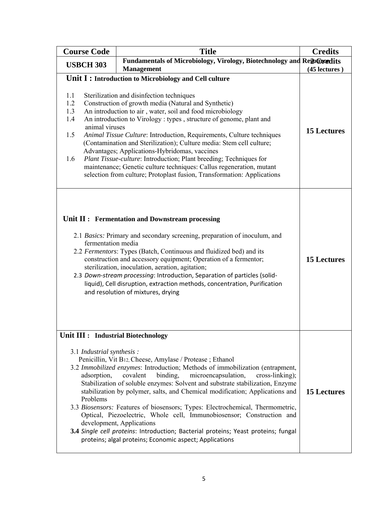| <b>Course Code</b>                                                                                                                                                                                                                                                                                                                                                                                                                                                                                                                                                                                                                                                                                                          | <b>Title</b>                                                                                                                                                                                                                                                                                                                                                                                                                                                                                                                                                                                                                                                                                                           | <b>Credits</b>     |
|-----------------------------------------------------------------------------------------------------------------------------------------------------------------------------------------------------------------------------------------------------------------------------------------------------------------------------------------------------------------------------------------------------------------------------------------------------------------------------------------------------------------------------------------------------------------------------------------------------------------------------------------------------------------------------------------------------------------------------|------------------------------------------------------------------------------------------------------------------------------------------------------------------------------------------------------------------------------------------------------------------------------------------------------------------------------------------------------------------------------------------------------------------------------------------------------------------------------------------------------------------------------------------------------------------------------------------------------------------------------------------------------------------------------------------------------------------------|--------------------|
| <b>USBCH 303</b>                                                                                                                                                                                                                                                                                                                                                                                                                                                                                                                                                                                                                                                                                                            | Fundamentals of Microbiology, Virology, Biotechnology and ResoChoedits                                                                                                                                                                                                                                                                                                                                                                                                                                                                                                                                                                                                                                                 |                    |
|                                                                                                                                                                                                                                                                                                                                                                                                                                                                                                                                                                                                                                                                                                                             | <b>Management</b><br>Unit I: Introduction to Microbiology and Cell culture                                                                                                                                                                                                                                                                                                                                                                                                                                                                                                                                                                                                                                             | (45 lectures)      |
| 1.1<br>Sterilization and disinfection techniques<br>Construction of growth media (Natural and Synthetic)<br>1.2<br>1.3<br>An introduction to air, water, soil and food microbiology<br>1.4<br>An introduction to Virology: types, structure of genome, plant and<br>animal viruses<br>1.5<br>Animal Tissue Culture: Introduction, Requirements, Culture techniques<br>(Contamination and Sterilization); Culture media: Stem cell culture;<br>Advantages; Applications-Hybridomas, vaccines<br>Plant Tissue-culture: Introduction; Plant breeding; Techniques for<br>1.6<br>maintenance; Genetic culture techniques: Callus regeneration, mutant<br>selection from culture; Protoplast fusion, Transformation: Applications | <b>15 Lectures</b>                                                                                                                                                                                                                                                                                                                                                                                                                                                                                                                                                                                                                                                                                                     |                    |
| Unit II : Fermentation and Downstream processing<br>2.1 Basics: Primary and secondary screening, preparation of inoculum, and<br>fermentation media<br>2.2 Fermentors: Types (Batch, Continuous and fluidized bed) and its<br>construction and accessory equipment; Operation of a fermentor;<br>sterilization, inoculation, aeration, agitation;<br>2.3 Down-stream processing: Introduction, Separation of particles (solid-<br>liquid), Cell disruption, extraction methods, concentration, Purification<br>and resolution of mixtures, drying                                                                                                                                                                           | <b>15 Lectures</b>                                                                                                                                                                                                                                                                                                                                                                                                                                                                                                                                                                                                                                                                                                     |                    |
| Unit III : Industrial Biotechnology<br>3.1 Industrial synthesis :<br>adsorption,<br>Problems                                                                                                                                                                                                                                                                                                                                                                                                                                                                                                                                                                                                                                | Penicillin, Vit B12, Cheese, Amylase / Protease; Ethanol<br>3.2 Immobilized enzymes: Introduction; Methods of immobilization (entrapment,<br>covalent<br>binding,<br>microencapsulation,<br>$cross-linking);$<br>Stabilization of soluble enzymes: Solvent and substrate stabilization, Enzyme<br>stabilization by polymer, salts, and Chemical modification; Applications and<br>3.3 Biosensors: Features of biosensors; Types: Electrochemical, Thermometric,<br>Optical, Piezoelectric, Whole cell, Immunobiosensor; Construction and<br>development, Applications<br>3.4 Single cell proteins: Introduction; Bacterial proteins; Yeast proteins; fungal<br>proteins; algal proteins; Economic aspect; Applications | <b>15 Lectures</b> |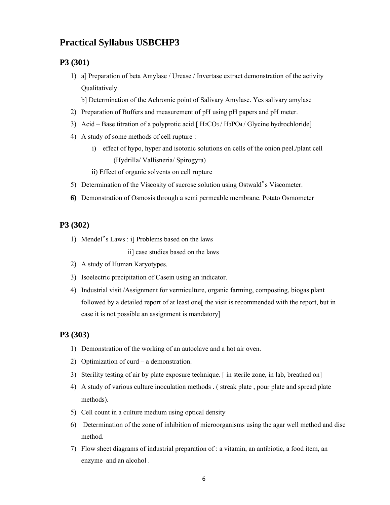## **Practical Syllabus USBCHP3**

#### **P3 (301)**

1) a] Preparation of beta Amylase / Urease / Invertase extract demonstration of the activity Qualitatively.

b] Determination of the Achromic point of Salivary Amylase. Yes salivary amylase

- 2) Preparation of Buffers and measurement of pH using pH papers and pH meter.
- 3) Acid Base titration of a polyprotic acid  $[$  H<sub>2</sub>CO<sub>3</sub>/H<sub>3</sub>PO<sub>4</sub>/Glycine hydrochloride
- 4) A study of some methods of cell rupture :
	- i) effect of hypo, hyper and isotonic solutions on cells of the onion peel./plant cell (Hydrilla/ Vallisneria/ Spirogyra)
	- ii) Effect of organic solvents on cell rupture
- 5) Determination of the Viscosity of sucrose solution using Ostwald"s Viscometer.
- **6)** Demonstration of Osmosis through a semi permeable membrane. Potato Osmometer

#### **P3 (302)**

1) Mendel"s Laws : i] Problems based on the laws

ii] case studies based on the laws

- 2) A study of Human Karyotypes.
- 3) Isoelectric precipitation of Casein using an indicator.
- 4) Industrial visit /Assignment for vermiculture, organic farming, composting, biogas plant followed by a detailed report of at least one fthe visit is recommended with the report, but in case it is not possible an assignment is mandatory]

#### **P3 (303)**

- 1) Demonstration of the working of an autoclave and a hot air oven.
- 2) Optimization of curd a demonstration.
- 3) Sterility testing of air by plate exposure technique. [ in sterile zone, in lab, breathed on]
- 4) A study of various culture inoculation methods . ( streak plate , pour plate and spread plate methods).
- 5) Cell count in a culture medium using optical density
- 6) Determination of the zone of inhibition of microorganisms using the agar well method and disc method.
- 7) Flow sheet diagrams of industrial preparation of : a vitamin, an antibiotic, a food item, an enzyme and an alcohol .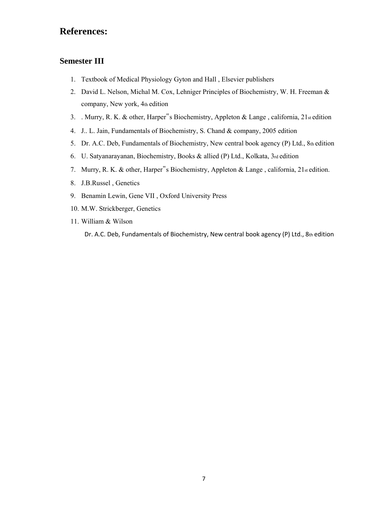# **References:**

## **Semester III**

- 1. Textbook of Medical Physiology Gyton and Hall , Elsevier publishers
- 2. David L. Nelson, Michal M. Cox, Lehniger Principles of Biochemistry, W. H. Freeman & company, New york, 4th edition
- 3. . Murry, R. K. & other, Harper"s Biochemistry, Appleton & Lange , california, 21st edition
- 4. J.. L. Jain, Fundamentals of Biochemistry, S. Chand & company, 2005 edition
- 5. Dr. A.C. Deb, Fundamentals of Biochemistry, New central book agency (P) Ltd., 8th edition
- 6. U. Satyanarayanan, Biochemistry, Books & allied (P) Ltd., Kolkata, 3rd edition
- 7. Murry, R. K. & other, Harper<sup>"</sup>s Biochemistry, Appleton & Lange, california, 21st edition.
- 8. J.B.Russel , Genetics
- 9. Benamin Lewin, Gene VII , Oxford University Press
- 10. M.W. Strickberger, Genetics
- 11. William & Wilson

Dr. A.C. Deb, Fundamentals of Biochemistry, New central book agency (P) Ltd., 8th edition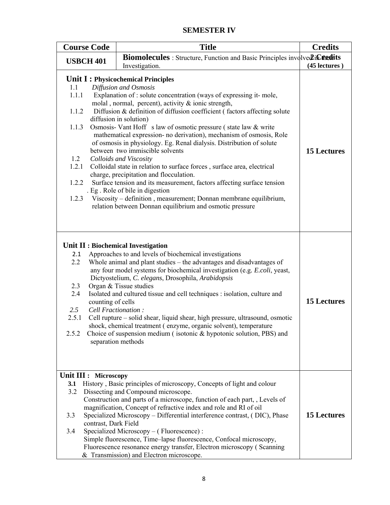## **SEMESTER IV**

|                                                                  | <b>Course Code</b>                            | <b>Title</b>                                                                                                                                                                                                                                                                                                                                                                                                                                                                                                                                                                                                                                                                                                                                                                                                                                                                                                                                       | <b>Credits</b>     |
|------------------------------------------------------------------|-----------------------------------------------|----------------------------------------------------------------------------------------------------------------------------------------------------------------------------------------------------------------------------------------------------------------------------------------------------------------------------------------------------------------------------------------------------------------------------------------------------------------------------------------------------------------------------------------------------------------------------------------------------------------------------------------------------------------------------------------------------------------------------------------------------------------------------------------------------------------------------------------------------------------------------------------------------------------------------------------------------|--------------------|
|                                                                  | <b>USBCH 401</b>                              | <b>Biomolecules</b> : Structure, Function and Basic Principles involve 2 in Citedits<br>Investigation.                                                                                                                                                                                                                                                                                                                                                                                                                                                                                                                                                                                                                                                                                                                                                                                                                                             | (45 lectures)      |
| 1.1<br>1.1.1<br>1.1.2<br>1.1.3<br>1.2<br>1.2.1<br>1.2.2<br>1.2.3 |                                               | Unit I: Physicochemical Principles<br>Diffusion and Osmosis<br>Explanation of : solute concentration (ways of expressing it-mole,<br>molal, normal, percent), activity & ionic strength,<br>Diffusion & definition of diffusion coefficient (factors affecting solute<br>diffusion in solution)<br>Osmosis- Vant Hoff s law of osmotic pressure (state law & write<br>mathematical expression- no derivation), mechanism of osmosis, Role<br>of osmosis in physiology. Eg. Renal dialysis. Distribution of solute<br>between two immiscible solvents<br>Colloids and Viscosity<br>Colloidal state in relation to surface forces, surface area, electrical<br>charge, precipitation and flocculation.<br>Surface tension and its measurement, factors affecting surface tension<br>. Eg. Role of bile in digestion<br>Viscosity – definition, measurement; Donnan membrane equilibrium,<br>relation between Donnan equilibrium and osmotic pressure | <b>15 Lectures</b> |
| 2.1<br>2.2<br>2.3<br>2.4<br>2.5<br>2.5.1<br>2.5.2                | counting of cells<br>Cell Fractionation:      | Unit II : Biochemical Investigation<br>Approaches to and levels of biochemical investigations<br>Whole animal and plant studies – the advantages and disadvantages of<br>any four model systems for biochemical investigation (e.g. E.coli, yeast,<br>Dictyostelium, C. elegans, Drosophila, Arabidopsis<br>Organ & Tissue studies<br>Isolated and cultured tissue and cell techniques : isolation, culture and<br>Cell rupture – solid shear, liquid shear, high pressure, ultrasound, osmotic<br>shock, chemical treatment (enzyme, organic solvent), temperature<br>Choice of suspension medium (isotonic $\&$ hypotonic solution, PBS) and<br>separation methods                                                                                                                                                                                                                                                                               | <b>15 Lectures</b> |
| 3.1<br>3.2<br>3.3<br>3.4                                         | Unit III : Microscopy<br>contrast, Dark Field | History, Basic principles of microscopy, Concepts of light and colour<br>Dissecting and Compound microscope.<br>Construction and parts of a microscope, function of each part, , Levels of<br>magnification, Concept of refractive index and role and RI of oil<br>Specialized Microscopy – Differential interference contrast, (DIC), Phase<br>Specialized Microscopy - (Fluorescence):<br>Simple fluorescence, Time-lapse fluorescence, Confocal microscopy,<br>Fluorescence resonance energy transfer, Electron microscopy (Scanning<br>& Transmission) and Electron microscope.                                                                                                                                                                                                                                                                                                                                                                | <b>15 Lectures</b> |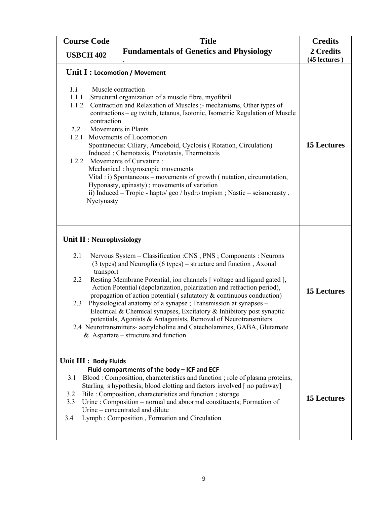| <b>Course Code</b>                                                                                            | <b>Title</b>                                                                                                                                                                                                                                                                                                                                                                                                                                                                                                                                                                                                                                                                                            | <b>Credits</b>             |
|---------------------------------------------------------------------------------------------------------------|---------------------------------------------------------------------------------------------------------------------------------------------------------------------------------------------------------------------------------------------------------------------------------------------------------------------------------------------------------------------------------------------------------------------------------------------------------------------------------------------------------------------------------------------------------------------------------------------------------------------------------------------------------------------------------------------------------|----------------------------|
| <b>Fundamentals of Genetics and Physiology</b><br><b>USBCH 402</b>                                            |                                                                                                                                                                                                                                                                                                                                                                                                                                                                                                                                                                                                                                                                                                         | 2 Credits<br>(45 lectures) |
| Unit I : Locomotion / Movement<br>1.1<br>1.1.1<br>1.1.2<br>contraction<br>1.2<br>1.2.1<br>1.2.2<br>Nyctynasty | Muscle contraction<br>.Structural organization of a muscle fibre, myofibril.<br>Contraction and Relaxation of Muscles ;- mechanisms, Other types of<br>contractions – eg twitch, tetanus, Isotonic, Isometric Regulation of Muscle<br>Movements in Plants<br>Movements of Locomotion<br>Spontaneous: Ciliary, Amoeboid, Cyclosis (Rotation, Circulation)<br>Induced : Chemotaxis, Phototaxis, Thermotaxis<br>Movements of Curvature:<br>Mechanical : hygroscopic movements<br>Vital : i) Spontaneous – movements of growth (nutation, circumutation,<br>Hyponasty, epinasty); movements of variation<br>ii) Induced – Tropic - hapto/geo / hydro tropism ; Nastic – seismonasty,                        | <b>15 Lectures</b>         |
| Unit II : Neurophysiology<br>2.1<br>transport<br>2.2<br>2.3                                                   | Nervous System - Classification : CNS, PNS; Components : Neurons<br>(3 types) and Neuroglia (6 types) – structure and function, Axonal<br>Resting Membrane Potential, ion channels [voltage and ligand gated],<br>Action Potential (depolarization, polarization and refraction period),<br>propagation of action potential (salutatory $\&$ continuous conduction)<br>Physiological anatomy of a synapse; Transmission at synapses -<br>Electrical & Chemical synapses, Excitatory & Inhibitory post synaptic<br>potentials, Agonists & Antagonists, Removal of Neurotransmiters<br>2.4 Neurotransmitters- acetylcholine and Catecholamines, GABA, Glutamate<br>$&$ Aspartate – structure and function | <b>15 Lectures</b>         |
| Unit III : Body Fluids<br>3.1<br>3.2<br>3.3<br>3.4                                                            | Fluid compartments of the body - ICF and ECF<br>Blood: Composittion, characteristics and function; role of plasma proteins,<br>Starling s hypothesis; blood clotting and factors involved [no pathway]<br>Bile : Composition, characteristics and function ; storage<br>Urine: Composition – normal and abnormal constituents; Formation of<br>Urine – concentrated and dilute<br>Lymph: Composition, Formation and Circulation                                                                                                                                                                                                                                                                         | <b>15 Lectures</b>         |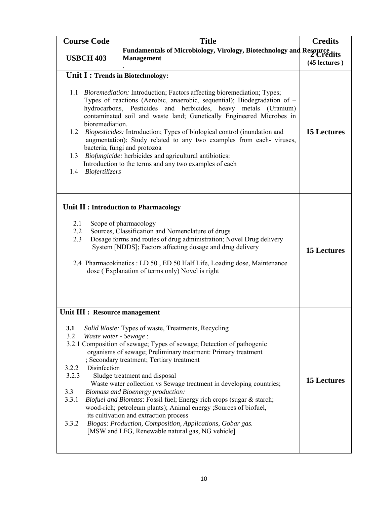| <b>Course Code</b>                                                                                                                                                                                                                                                                                                                                                                                                                                                                                                                                                                                                                                                                                              | <b>Title</b>                                                                                                                                                                                                                                                                                                                                                                                                                                                                                                                                                                                                                                                                                          | <b>Credits</b>     |
|-----------------------------------------------------------------------------------------------------------------------------------------------------------------------------------------------------------------------------------------------------------------------------------------------------------------------------------------------------------------------------------------------------------------------------------------------------------------------------------------------------------------------------------------------------------------------------------------------------------------------------------------------------------------------------------------------------------------|-------------------------------------------------------------------------------------------------------------------------------------------------------------------------------------------------------------------------------------------------------------------------------------------------------------------------------------------------------------------------------------------------------------------------------------------------------------------------------------------------------------------------------------------------------------------------------------------------------------------------------------------------------------------------------------------------------|--------------------|
| Fundamentals of Microbiology, Virology, Biotechnology and Resource lits<br><b>USBCH 403</b><br><b>Management</b>                                                                                                                                                                                                                                                                                                                                                                                                                                                                                                                                                                                                |                                                                                                                                                                                                                                                                                                                                                                                                                                                                                                                                                                                                                                                                                                       | (45 lectures)      |
| Unit I : Trends in Biotechnology:<br>1.1 <i>Bioremediation:</i> Introduction; Factors affecting bioremediation; Types;<br>Types of reactions (Aerobic, anaerobic, sequential); Biodegradation of -<br>hydrocarbons, Pesticides and herbicides, heavy metals (Uranium)<br>contaminated soil and waste land; Genetically Engineered Microbes in<br>bioremediation.<br>1.2 <i>Biopesticides:</i> Introduction; Types of biological control (inundation and<br>augmentation); Study related to any two examples from each-viruses,<br>bacteria, fungi and protozoa<br>1.3 Biofungicide: herbicides and agricultural antibiotics:<br>Introduction to the terms and any two examples of each<br>Biofertilizers<br>1.4 | <b>15 Lectures</b>                                                                                                                                                                                                                                                                                                                                                                                                                                                                                                                                                                                                                                                                                    |                    |
| 2.1<br>2.2<br>2.3                                                                                                                                                                                                                                                                                                                                                                                                                                                                                                                                                                                                                                                                                               | Unit II : Introduction to Pharmacology<br>Scope of pharmacology<br>Sources, Classification and Nomenclature of drugs<br>Dosage forms and routes of drug administration; Novel Drug delivery<br>System [NDDS]; Factors affecting dosage and drug delivery<br>2.4 Pharmacokinetics : LD 50, ED 50 Half Life, Loading dose, Maintenance<br>dose (Explanation of terms only) Novel is right                                                                                                                                                                                                                                                                                                               | <b>15 Lectures</b> |
| Unit III : Resource management<br><b>3.1</b><br>3.2<br>Waste water - Sewage:<br>3.2.2<br>Disinfection<br>3.2.3<br>3.3<br>3.3.1<br>3.3.2                                                                                                                                                                                                                                                                                                                                                                                                                                                                                                                                                                         | Solid Waste: Types of waste, Treatments, Recycling<br>3.2.1 Composition of sewage; Types of sewage; Detection of pathogenic<br>organisms of sewage; Preliminary treatment: Primary treatment<br>; Secondary treatment; Tertiary treatment<br>Sludge treatment and disposal<br>Waste water collection vs Sewage treatment in developing countries;<br><b>Biomass and Bioenergy production:</b><br>Biofuel and Biomass: Fossil fuel; Energy rich crops (sugar & starch;<br>wood-rich; petroleum plants); Animal energy ; Sources of biofuel,<br>its cultivation and extraction process<br>Biogas: Production, Composition, Applications, Gobar gas.<br>[MSW and LFG, Renewable natural gas, NG vehicle] | <b>15 Lectures</b> |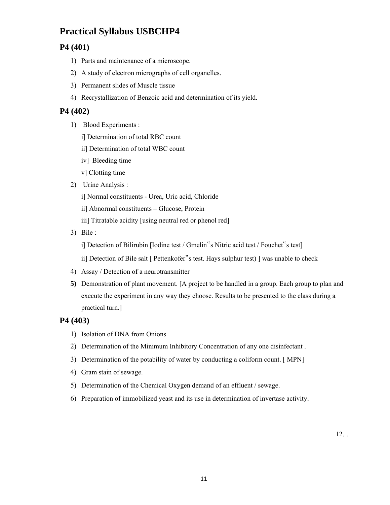# **Practical Syllabus USBCHP4**

## **P4 (401)**

- 1) Parts and maintenance of a microscope.
- 2) A study of electron micrographs of cell organelles.
- 3) Permanent slides of Muscle tissue
- 4) Recrystallization of Benzoic acid and determination of its yield.

#### **P4 (402)**

- 1) Blood Experiments :
	- i] Determination of total RBC count
	- ii] Determination of total WBC count
	- iv] Bleeding time
	- v] Clotting time
- 2) Urine Analysis :
	- i] Normal constituents Urea, Uric acid, Chloride
	- ii] Abnormal constituents Glucose, Protein
	- iii] Titratable acidity [using neutral red or phenol red]
- 3) Bile :

i] Detection of Bilirubin [Iodine test / Gmelin"s Nitric acid test / Fouchet"s test]

ii] Detection of Bile salt [ Pettenkofer"s test. Hays sulphur test) ] was unable to check

- 4) Assay / Detection of a neurotransmitter
- **5)** Demonstration of plant movement. [A project to be handled in a group. Each group to plan and execute the experiment in any way they choose. Results to be presented to the class during a practical turn.]

#### **P4 (403)**

- 1) Isolation of DNA from Onions
- 2) Determination of the Minimum Inhibitory Concentration of any one disinfectant .
- 3) Determination of the potability of water by conducting a coliform count. [ MPN]
- 4) Gram stain of sewage.
- 5) Determination of the Chemical Oxygen demand of an effluent / sewage.
- 6) Preparation of immobilized yeast and its use in determination of invertase activity.